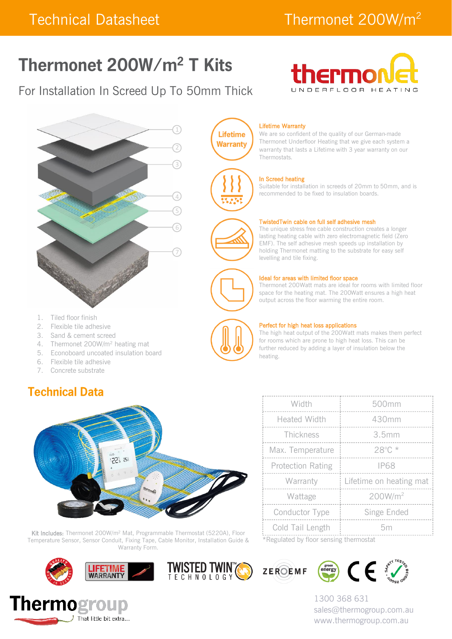# Thermonet 200W/m<sup>2</sup> T Kits

# For Installation In Screed Up To 50mm Thick





- 1. Tiled floor finish
- 2. Flexible tile adhesive
- 3. Sand & cement screed
- 4. Thermonet 200W/m<sup>2</sup> heating mat
- 5. Econoboard uncoated insulation board
- 6. Flexible tile adhesive
- 7. Concrete substrate

### **Technical Data**



Kit Includes: Thermonet 200W/m<sup>2</sup> Mat, Programmable Thermostat (5220A), Floor Temperature Sensor, Sensor Conduit, Fixing Tape, Cable Monitor, Installation Guide & Warranty Form.











1300 368 631 sales@thermogroup.com.au www.thermogroup.com.au

#### Lifetime Warranty

We are so confident of the quality of our German-made Thermonet Underfloor Heating that we give each system a warranty that lasts a Lifetime with 3 year warranty on our Thermostats.

#### In Screed heating

Suitable for installation in screeds of 20mm to 50mm, and is recommended to be fixed to insulation boards.

#### TwistedTwin cable on full self adhesive mesh

The unique stress free cable construction creates a longer lasting heating cable with zero electromagnetic field (Zero EMF). The self adhesive mesh speeds up installation by holding Thermonet matting to the substrate for easy self levelling and tile fixing.

#### Ideal for areas with limited floor space

Thermonet 200Watt mats are ideal for rooms with limited floor space for the heating mat. The 200Watt ensures a high heat output across the floor warming the entire room.



**Lifetime Warranty** 

#### Perfect for high heat loss applications

The high heat output of the 200Watt mats makes them perfect for rooms which are prone to high heat loss. This can be further reduced by adding a layer of insulation below the heating.

|      | Width                    | 500mm                   |  |  |
|------|--------------------------|-------------------------|--|--|
|      | <b>Heated Width</b>      | 430mm                   |  |  |
|      | Thickness                | 3.5mm                   |  |  |
|      | Max. Temperature         | $28^{\circ}$ C *        |  |  |
|      | <b>Protection Rating</b> | <b>IP68</b>             |  |  |
|      | Warranty                 | Lifetime on heating mat |  |  |
|      | Wattage                  | 200W/m <sup>2</sup>     |  |  |
|      | Conductor Type           | Singe Ended             |  |  |
|      | Cold Tail Length         | 5m                      |  |  |
| $-1$ |                          |                         |  |  |

\*Regulated by floor sensing thermostat